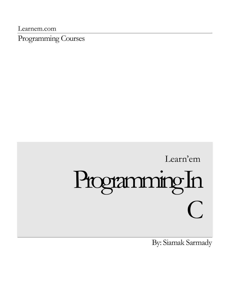Learnem.com

Programming Courses

# Learn'em Programming In  $\bigcap$

By: Siamak Sarmady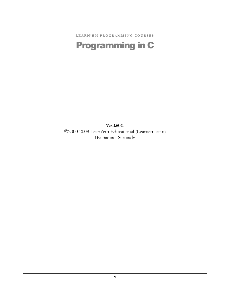LEARN'EM PROGRAMMING COURSES

# Programming in C

Ver. 2.08.01 2000-2008 Learn'em Educational (Learnem.com) By: Siamak Sarmady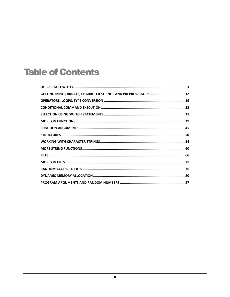# **Table of Contents**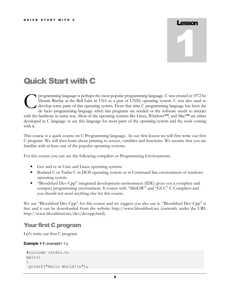# Lesson

1

# Quick Start with C

programming language is perhaps the most popular programming language. C was created in 1972 by Dennis Ritchie at the Bell Labs in USA as a part of UNIX operating system. C was also used to develop some parts of this operating system. From that time C programming language has been the de facto programming language when fast programs are needed or the software needs to interact with the hardware in some way. Most of the operating systems like Linux, Windows™, and Mac™ are either developed in C language or use this language for most parts of the operating system and the tools coming with it. C

This course is a quick course on C Programming language. In our first lesson we will first write our first C program. We will then learn about printing to screen, variables and functions. We assume that you are familiar with at least one of the popular operating systems.

For this course you can use the following compilers or Programming Environments.

- Gcc and cc in Unix and Linux operating systems
- Borland C or Turbo C in DOS operating system or in Command line environment of windows operating system
- "Bloodshed Dev-Cpp" integrated development environment (IDE) gives you a complete and compact programming environment. It comes with "MinGW" and "GCC" C Compilers and you should not need anything else for this course.

We use "Bloodshed Dev-Cpp" for this course and we suggest you also use it. "Bloodshed Dev-Cpp" is free and it can be downloaded from the website http://www.bloodshed.net (currently under the URL http://www.bloodshed.net/dev/devcpp.html).

# Your first C program

Let's write our first C program.

#### **Example 1-1:** example1-1.c

```
#include <stdio.h> 
main() 
{ 
printf("Hello World!\n");
```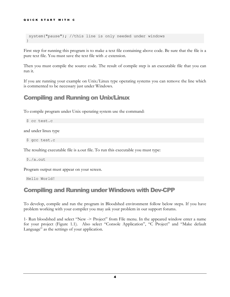system("pause"); //this line is only needed under windows }

First step for running this program is to make a text file containing above code. Be sure that the file is a pure text file. You must save the text file with .c extension.

Then you must compile the source code. The result of compile step is an executable file that you can run it.

If you are running your example on Unix/Linux type operating systems you can remove the line which is commented to be necessary just under Windows.

## Compiling and Running on Unix/Linux

To compile program under Unix operating system use the command:

```
$ cc test.c
```
and under linux type

\$ gcc test.c

The resulting executable file is a.out file. To run this executable you must type:

\$./a.out

Program output must appear on your screen.

Hello World!

# Compiling and Running under Windows with Dev-CPP

To develop, compile and run the program in Bloodshed environment follow below steps. If you have problem working with your compiler you may ask your problem in our support forums.

1- Run bloodshed and select "New -> Project" from File menu. In the appeared window enter a name for your project (Figure 1.1). Also select "Console Application", "C Project" and "Make default Language" as the settings of your application.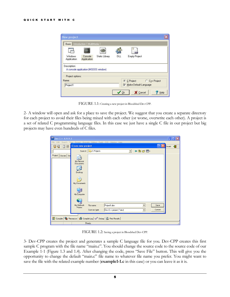

FIGURE 1.1: Creating a new project in Bloodshed Dev-CPP.

2- A window will open and ask for a place to save the project. We suggest that you create a separate directory for each project to avoid their files being mixed with each other (or worse, overwrite each other). A project is a set of related C programming language files. In this case we just have a single C file in our project but big projects may have even hundreds of C files.

| $Dev-C++4.9.9.2$                                                                           |                                                                                          |                             |                                                         |         |                                                      |                |        | $\Box$ $\Box$ $\times$ |
|--------------------------------------------------------------------------------------------|------------------------------------------------------------------------------------------|-----------------------------|---------------------------------------------------------|---------|------------------------------------------------------|----------------|--------|------------------------|
| Edit<br>File                                                                               |                                                                                          |                             | Search View Project Execute Debug Tools CVS Window Help |         |                                                      |                |        |                        |
| 99                                                                                         | <b>Create new project</b>                                                                |                             |                                                         |         |                                                      | $[?] \times$   | Insert | O.                     |
|                                                                                            |                                                                                          | Save in: C-Projects         |                                                         | $\vert$ | ←自合图                                                 |                |        |                        |
| Project Classes De<br>B Compiler   中 Resources   di Compile Log   √ Debug   B Find Results | My Recent<br>Documents<br>Desktop<br>My Documents<br>My Computer<br>My Network<br>Places | File name:<br>Save as type: | Project1.dev<br>Dev-C++ project (".dev)                 |         | $\overline{\phantom{a}}$<br>$\overline{\phantom{a}}$ | Save<br>Cancel |        |                        |
|                                                                                            |                                                                                          | Ready.                      |                                                         |         |                                                      |                |        |                        |
|                                                                                            |                                                                                          |                             |                                                         |         |                                                      |                |        |                        |

FIGURE 1.2: Saving a project in Bloodshed Dev-CPP.

3- Dev-CPP creates the project and generates a sample C language file for you. Dev-CPP creates this first sample C program with the file name "main.c". You should change the source code to the source code of our Example 1-1 (Figure 1.3 and 1.4). After changing the code, press "Save File" button. This will give you the opportunity to change the default "main.c" file name to whatever file name you prefer. You might want to save the file with the related example number (example1-1.c in this case) or you can leave it as it is.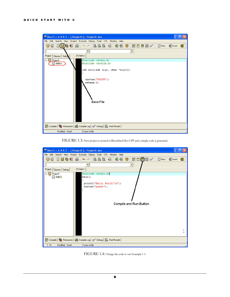#### QUICK START WITH C

| Dev-C++ 4.9.9.2 - [ Project1 ] - Project1.dev                                                                                                                                                                            |  |
|--------------------------------------------------------------------------------------------------------------------------------------------------------------------------------------------------------------------------|--|
| File Edit Search View Project Execute Debug Tools CVS Window Help                                                                                                                                                        |  |
| $\vert$ $\mathbb{B}$ $\Box$ $\mathbb{B}$ $\mathbb{B}$ $\varphi$ $\vert$ $\Box$ New $\vert$ $\mathbb{B}$ Insert $\vert \mathbf{\Phi} \vert$<br>$\Box$ $\Box$ $\Box$ $\Box$<br><b>220</b><br><b>BBBF</b><br>$\bullet$<br>U |  |
| $\blacktriangledown$<br>$\blacktriangledown$                                                                                                                                                                             |  |
| [*] main.c<br>Project Classes Debut                                                                                                                                                                                      |  |
| #include <stdio.h><br/>Project1<br/>日塚</stdio.h>                                                                                                                                                                         |  |
| main.c<br>#include <stdlib.h></stdlib.h>                                                                                                                                                                                 |  |
| int main(int argc, char *argv[])<br>₹<br>system("PAUSE");<br>return 0;<br><b>Save File</b>                                                                                                                               |  |
| BB Compiler   http://esources   dil Compile Log   √ Debug   Q Find Results                                                                                                                                               |  |
| Modified Insert<br>9 Lines in file                                                                                                                                                                                       |  |



| M Dev-C++ 4.9.9.2 - [ Project1 ] - Project1.dev                                                                                                                                                                     |                                         |
|---------------------------------------------------------------------------------------------------------------------------------------------------------------------------------------------------------------------|-----------------------------------------|
| File Edit Search View Project Execute Debug Tools CVS Window Help                                                                                                                                                   |                                         |
| <b>BBBF</b><br>11111<br>開宿相<br>昌<br>$\Leftrightarrow$<br>$\mathbf{C}$<br>H<br>图                                                                                                                                     | $B = 1$<br>O.<br>New<br><b>可</b> Insert |
| $\blacktriangledown$<br>$\blacktriangledown$                                                                                                                                                                        |                                         |
| [*] main.c<br>Project  <br>Classes Debug                                                                                                                                                                            |                                         |
| #include <stdio.h><br/>Project1<br/>日禄<br/>main.c<br/>main()<br/><math>\left\{ \right.</math><br/><math>print(f("Hello World! \n')):</math><br/>system("pause"):<br/>b.<br/><b>Compile and Run Button</b></stdio.h> |                                         |
|                                                                                                                                                                                                                     |                                         |
| BB Compiler   中 Resources   fh Compile Log   √ Debug   良 Find Results                                                                                                                                               |                                         |
| Modified Insert<br>7 Lines in file<br>1:19                                                                                                                                                                          |                                         |

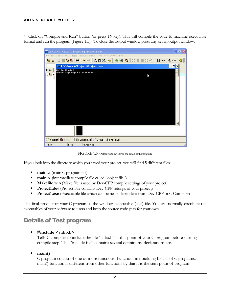#### Q U I C K S T A R T W I T H C

4- Click on "Compile and Run" button (or press F9 key). This will compile the code to machine executable format and run the program (Figure 1.5). To close the output window press any key in output window.

|                       |        | TV Dev-C++ 4.9.9.2 - [ Project1 ] - Project1.dev                      |                     |                       |           | ш.                                |
|-----------------------|--------|-----------------------------------------------------------------------|---------------------|-----------------------|-----------|-----------------------------------|
| File<br>Edit          |        | Search View Project Execute Debug Tools CVS Window Help               |                     |                       |           |                                   |
| G<br>閿                | 中 8    | 昌<br>QQQ<br>40 0                                                      | $\bullet$<br>围<br>恒 | $\circledcirc$<br>EE. | New<br>温度 | <b>可</b> Insert<br>$\ddot{\circ}$ |
|                       |        | ev F:\C-Projects\Project1\Project1.exe                                |                     |                       |           | $ \Box$ $\times$                  |
| ⊟ <mark>S</mark> D Pr |        | Project (Hello World!<br>Press any key to continue                    |                     |                       |           |                                   |
|                       |        |                                                                       |                     |                       |           |                                   |
|                       |        | B Compiler   h Resources   d D Compile Log   √ Debug   B Find Results |                     |                       |           |                                   |
| 1:19                  | Insert | 7 Lines in file                                                       |                     |                       |           |                                   |

FIGURE 1.5: Output window shows the result of the program.

If you look into the directory which you saved your project, you will find 5 different files:

- main.c (main C program file)
- main.o (intermediate compile file called "object file")
- **Makefile.win** (Make file is used by Dev-CPP compile settings of your project)
- **Project1.dev** (Project File contains Dev-CPP settings of your project)
- **Project1.exe** (Executable file which can be run independent from Dev-CPP or C Compiler)

The final product of your C program is the windows executable (.exe) file. You will normally distribute the executables of your software to users and keep the source code (\*.c) for your own.

# Details of Test program

#### • #include <stdio.h>

Tells C compiler to include the file "stdio.h" in this point of your C program before starting compile step. This "include file" contains several definitions, declarations etc.

• main()

C program consist of one or more functions. Functions are building blocks of C programs. main() function is different from other functions by that it is the start point of program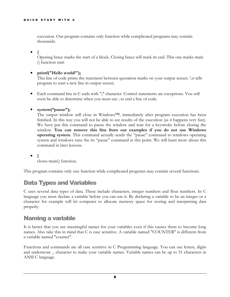execution. Our program contains only function while complicated programs may contain thousands.

 $\bullet$  {

Opening brace marks the start of a block. Closing brace will mark its end. This one marks main () function start

#### • printf("Hello world!");

This line of code prints the statement between quotation marks on your output screen.  $\ln$  tells program to start a new line in output screen.

Each command line in C ends with ";" character. Control statements are exceptions. You will soon be able to determine when you must use ; to end a line of code.

#### system("pause");

The output window will close in Windows™, immediately after program execution has been finished. In this way you will not be able to see results of the execution (as it happens very fast). We have put this command to pause the window and wait for a keystroke before closing the window. You can remove this line from our examples if you do not use Windows operating system. This command actually sends the "pause" command to windows operating system and windows runs the its "pause" command at this point. We will learn more about this command in later lessons.

• }

closes main() function.

This program contains only one function while complicated programs may contain several functions.

# Data Types and Variables

C uses several data types of data. These include characters, integer numbers and float numbers. In C language you must declare a variable before you can use it. By declaring a variable to be an integer or a character for example will let computer to allocate memory space for storing and interpreting data properly.

# Naming a variable

It is better that you use meaningful names for your variables even if this causes them to become long names. Also take this in mind that C is case sensitive. A variable named "COUNTER" is different from a variable named "counter".

Functions and commands are all case sensitive in C Programming language. You can use letters, digits and underscore character to make your variable names. Variable names can be up to 31 characters in ANSI C language.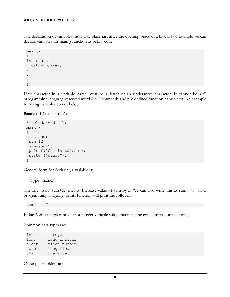The declaration of variables must take place just after the opening brace of a block. For example we can declare variables for main() function as below code:

```
main() 
{ 
int count; 
float sum,area; 
. 
. 
. 
}
```
First character in a variable name must be a letter or an underscore character. It cannot be a C programming language-reserved word (i.e. Commands and pre defined function names etc). An example for using variables comes below:

#### **Example 1-2:** example1-2.c

```
#include<stdio.h> 
main() 
{ 
  int sum; 
 sum=12;
  sum=sum+5; 
  printf("Sum is %d",sum); 
  system("pause"); 
}
```
General form for declaring a variable is:

Type name;

The line sum=sum+5; means: Increase value of sum by 5. We can also write this as sum+=5; in C programming language. printf function will print the following:

Sum is 17

In fact %d is the placeholder for integer variable value that its name comes after double quotes.

Common data types are:

int integer long long integer float float number double long float char character

Other placeholders are: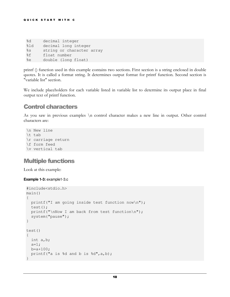| %d  | decimal integer           |
|-----|---------------------------|
| 8ld | decimal long integer      |
| ိဒ  | string or character array |
| xi  | float number              |
| %e  | double (long float)       |

printf () function used in this example contains two sections. First section is a string enclosed in double quotes. It is called a format string. It determines output format for printf function. Second section is "variable list" section.

We include placeholders for each variable listed in variable list to determine its output place in final output text of printf function.

# Control characters

As you saw in previous examples \n control character makes a new line in output. Other control characters are:

```
\n New line 
\t tab 
\r carriage return 
\f form feed 
\v vertical tab
```
# Multiple functions

Look at this example:

#### **Example 1-3:** example1-3.c

```
#include<stdio.h> 
main() 
{ 
   printf("I am going inside test function now\n"); 
   test(); 
  printf("\nNow I am back from test function\n");
   system("pause"); 
} 
test() 
{ 
   int a,b; 
  a=1;
 b=a+100; printf("a is %d and b is %d",a,b); 
}
```